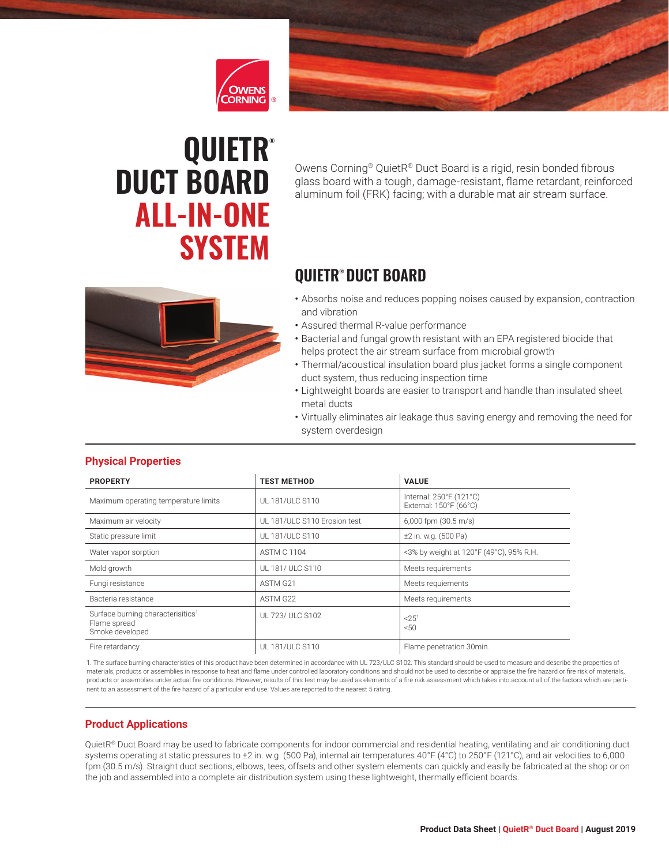



# **QUIETR® DUCT BOARD ALL-IN-ONE SYSTEM**

Owens Corning® QuietR® Duct Board is a rigid, resin bonded fibrous glass board with a tough, damage-resistant, flame retardant, reinforced aluminum foil (FRK) facing; with a durable mat air stream surface.

## **QUIETR® DUCT BOARD**

- 
- Absorbs noise and reduces popping noises caused by expansion, contraction and vibration
- Assured thermal R-value performance
- Bacterial and fungal growth resistant with an EPA registered biocide that helps protect the air stream surface from microbial growth
- Thermal/acoustical insulation board plus jacket forms a single component duct system, thus reducing inspection time
- Lightweight boards are easier to transport and handle than insulated sheet metal ducts
- Virtually eliminates air leakage thus saving energy and removing the need for system overdesign

| <b>PROPERTY</b>                                                                  | <b>TEST METHOD</b>           | <b>VALUE</b>                                      |
|----------------------------------------------------------------------------------|------------------------------|---------------------------------------------------|
| Maximum operating temperature limits                                             | UL 181/ULC S110              | Internal: 250°F (121°C)<br>External: 150°F (66°C) |
| Maximum air velocity                                                             | UL 181/ULC S110 Erosion test | $6,000$ fpm $(30.5 \text{ m/s})$                  |
| Static pressure limit                                                            | UL 181/ULC S110              | ±2 in. w.g. (500 Pa)                              |
| Water vapor sorption                                                             | <b>ASTM C 1104</b>           | <3% by weight at 120°F (49°C), 95% R.H.           |
| Mold growth                                                                      | UL 181/ ULC S110             | Meets requirements                                |
| Fungi resistance                                                                 | ASTM G <sub>21</sub>         | Meets requiements                                 |
| Bacteria resistance                                                              | ASTM G22                     | Meets requirements                                |
| Surface burning characterisitics <sup>1</sup><br>Flame spread<br>Smoke developed | UL 723/ ULC S102             | $< 25^1$<br>50                                    |
| Fire retardancy                                                                  | UL 181/ULC S110              | Flame penetration 30min.                          |

#### **Physical Properties**

1. The surface burning characteristics of this product have been determined in accordance with UL 723/ULC S102. This standard should be used to measure and describe the properties of materials, products or assemblies in response to heat and flame under controlled laboratory conditions and should not be used to describe or appraise the fire hazard or fire risk of materials, products or assemblies under actual fire conditions. However, results of this test may be used as elements of a fire risk assessment which takes into account all of the factors which are pertinent to an assessment of the fire hazard of a particular end use. Values are reported to the nearest 5 rating.

### **Product Applications**

QuietR® Duct Board may be used to fabricate components for indoor commercial and residential heating, ventilating and air conditioning duct systems operating at static pressures to ±2 in. w.g. (500 Pa), internal air temperatures 40°F (4°C) to 250°F (121°C), and air velocities to 6,000 fpm (30.5 m/s). Straight duct sections, elbows, tees, offsets and other system elements can quickly and easily be fabricated at the shop or on the job and assembled into a complete air distribution system using these lightweight, thermally efficient boards.